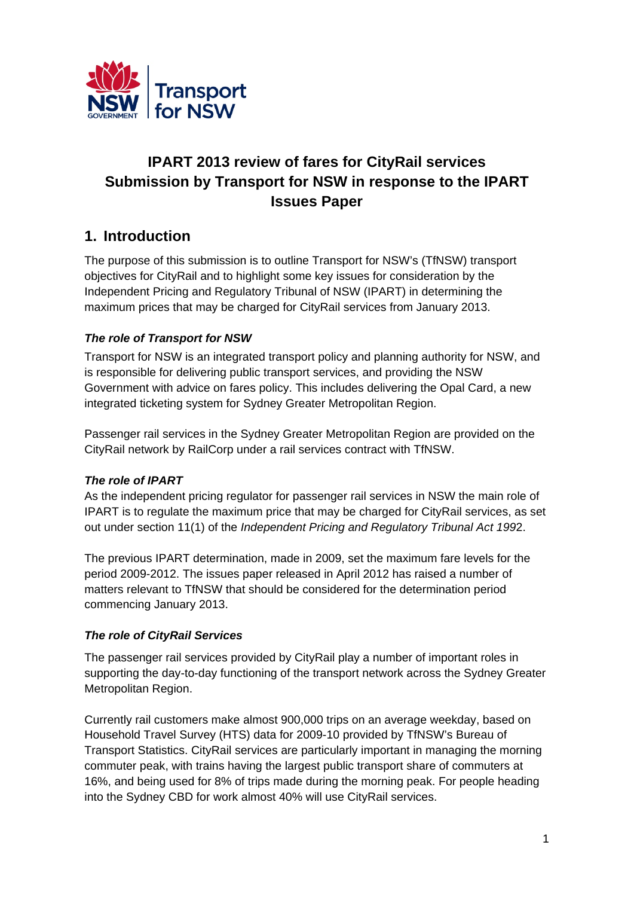

# **IPART 2013 review of fares for CityRail services Submission by Transport for NSW in response to the IPART Issues Paper**

# **1. Introduction**

The purpose of this submission is to outline Transport for NSW's (TfNSW) transport objectives for CityRail and to highlight some key issues for consideration by the Independent Pricing and Regulatory Tribunal of NSW (IPART) in determining the maximum prices that may be charged for CityRail services from January 2013.

## *The role of Transport for NSW*

Transport for NSW is an integrated transport policy and planning authority for NSW, and is responsible for delivering public transport services, and providing the NSW Government with advice on fares policy. This includes delivering the Opal Card, a new integrated ticketing system for Sydney Greater Metropolitan Region.

Passenger rail services in the Sydney Greater Metropolitan Region are provided on the CityRail network by RailCorp under a rail services contract with TfNSW.

## *The role of IPART*

As the independent pricing regulator for passenger rail services in NSW the main role of IPART is to regulate the maximum price that may be charged for CityRail services, as set out under section 11(1) of the *Independent Pricing and Regulatory Tribunal Act 199*2.

The previous IPART determination, made in 2009, set the maximum fare levels for the period 2009-2012. The issues paper released in April 2012 has raised a number of matters relevant to TfNSW that should be considered for the determination period commencing January 2013.

## *The role of CityRail Services*

The passenger rail services provided by CityRail play a number of important roles in supporting the day-to-day functioning of the transport network across the Sydney Greater Metropolitan Region.

Currently rail customers make almost 900,000 trips on an average weekday, based on Household Travel Survey (HTS) data for 2009-10 provided by TfNSW's Bureau of Transport Statistics. CityRail services are particularly important in managing the morning commuter peak, with trains having the largest public transport share of commuters at 16%, and being used for 8% of trips made during the morning peak. For people heading into the Sydney CBD for work almost 40% will use CityRail services.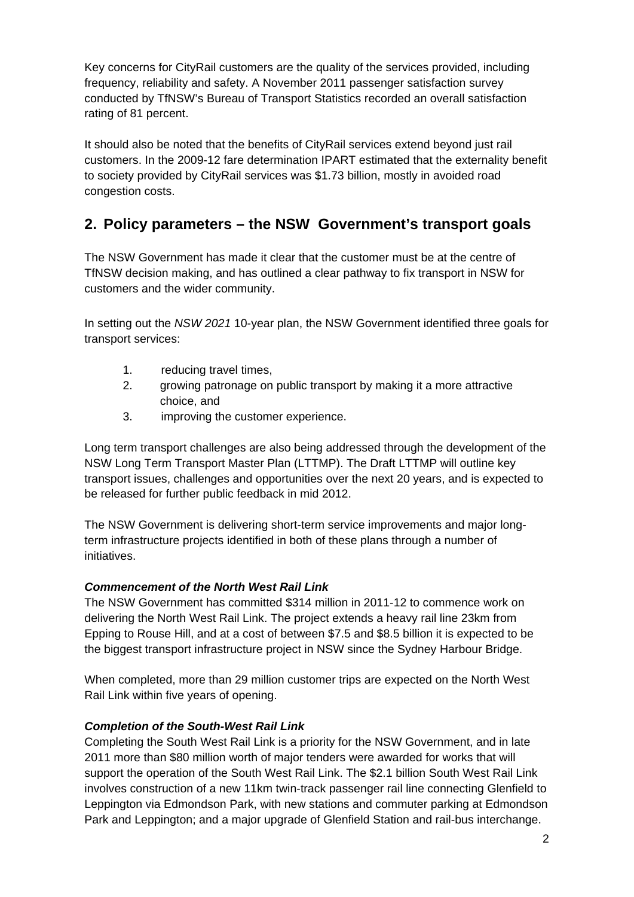Key concerns for CityRail customers are the quality of the services provided, including frequency, reliability and safety. A November 2011 passenger satisfaction survey conducted by TfNSW's Bureau of Transport Statistics recorded an overall satisfaction rating of 81 percent.

It should also be noted that the benefits of CityRail services extend beyond just rail customers. In the 2009-12 fare determination IPART estimated that the externality benefit to society provided by CityRail services was \$1.73 billion, mostly in avoided road congestion costs.

# **2. Policy parameters – the NSW Government's transport goals**

The NSW Government has made it clear that the customer must be at the centre of TfNSW decision making, and has outlined a clear pathway to fix transport in NSW for customers and the wider community.

In setting out the *NSW 2021* 10-year plan, the NSW Government identified three goals for transport services:

- 1. reducing travel times,
- 2. growing patronage on public transport by making it a more attractive choice, and
- 3. improving the customer experience.

Long term transport challenges are also being addressed through the development of the NSW Long Term Transport Master Plan (LTTMP). The Draft LTTMP will outline key transport issues, challenges and opportunities over the next 20 years, and is expected to be released for further public feedback in mid 2012.

The NSW Government is delivering short-term service improvements and major longterm infrastructure projects identified in both of these plans through a number of initiatives.

## *Commencement of the North West Rail Link*

The NSW Government has committed \$314 million in 2011-12 to commence work on delivering the North West Rail Link. The project extends a heavy rail line 23km from Epping to Rouse Hill, and at a cost of between \$7.5 and \$8.5 billion it is expected to be the biggest transport infrastructure project in NSW since the Sydney Harbour Bridge.

When completed, more than 29 million customer trips are expected on the North West Rail Link within five years of opening.

## *Completion of the South-West Rail Link*

Completing the South West Rail Link is a priority for the NSW Government, and in late 2011 more than \$80 million worth of major tenders were awarded for works that will support the operation of the South West Rail Link. The \$2.1 billion South West Rail Link involves construction of a new 11km twin-track passenger rail line connecting Glenfield to Leppington via Edmondson Park, with new stations and commuter parking at Edmondson Park and Leppington; and a major upgrade of Glenfield Station and rail-bus interchange.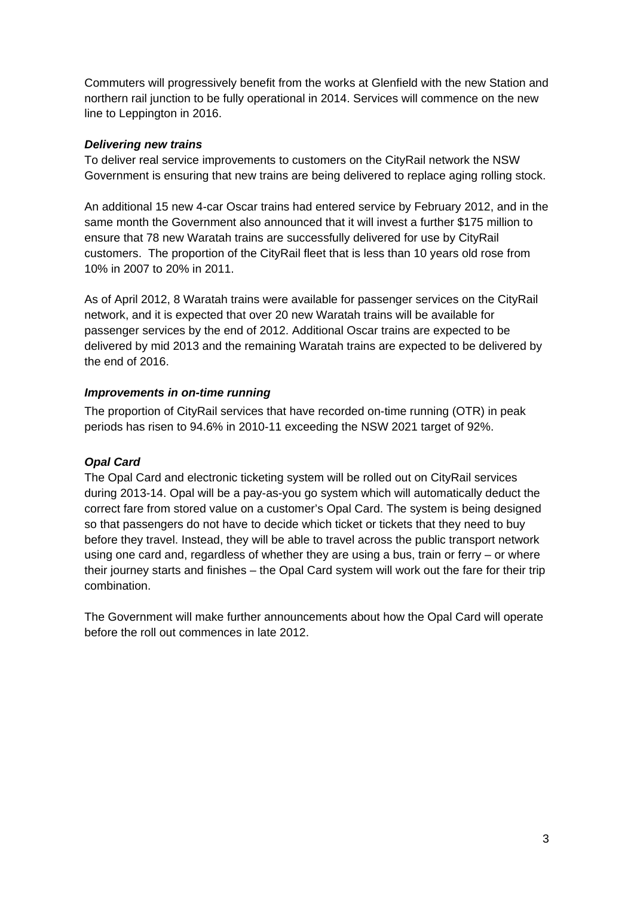Commuters will progressively benefit from the works at Glenfield with the new Station and northern rail junction to be fully operational in 2014. Services will commence on the new line to Leppington in 2016.

### *Delivering new trains*

To deliver real service improvements to customers on the CityRail network the NSW Government is ensuring that new trains are being delivered to replace aging rolling stock.

An additional 15 new 4-car Oscar trains had entered service by February 2012, and in the same month the Government also announced that it will invest a further \$175 million to ensure that 78 new Waratah trains are successfully delivered for use by CityRail customers. The proportion of the CityRail fleet that is less than 10 years old rose from 10% in 2007 to 20% in 2011.

As of April 2012, 8 Waratah trains were available for passenger services on the CityRail network, and it is expected that over 20 new Waratah trains will be available for passenger services by the end of 2012. Additional Oscar trains are expected to be delivered by mid 2013 and the remaining Waratah trains are expected to be delivered by the end of 2016.

#### *Improvements in on-time running*

The proportion of CityRail services that have recorded on-time running (OTR) in peak periods has risen to 94.6% in 2010-11 exceeding the NSW 2021 target of 92%.

## *Opal Card*

The Opal Card and electronic ticketing system will be rolled out on CityRail services during 2013-14. Opal will be a pay-as-you go system which will automatically deduct the correct fare from stored value on a customer's Opal Card. The system is being designed so that passengers do not have to decide which ticket or tickets that they need to buy before they travel. Instead, they will be able to travel across the public transport network using one card and, regardless of whether they are using a bus, train or ferry – or where their journey starts and finishes – the Opal Card system will work out the fare for their trip combination.

The Government will make further announcements about how the Opal Card will operate before the roll out commences in late 2012.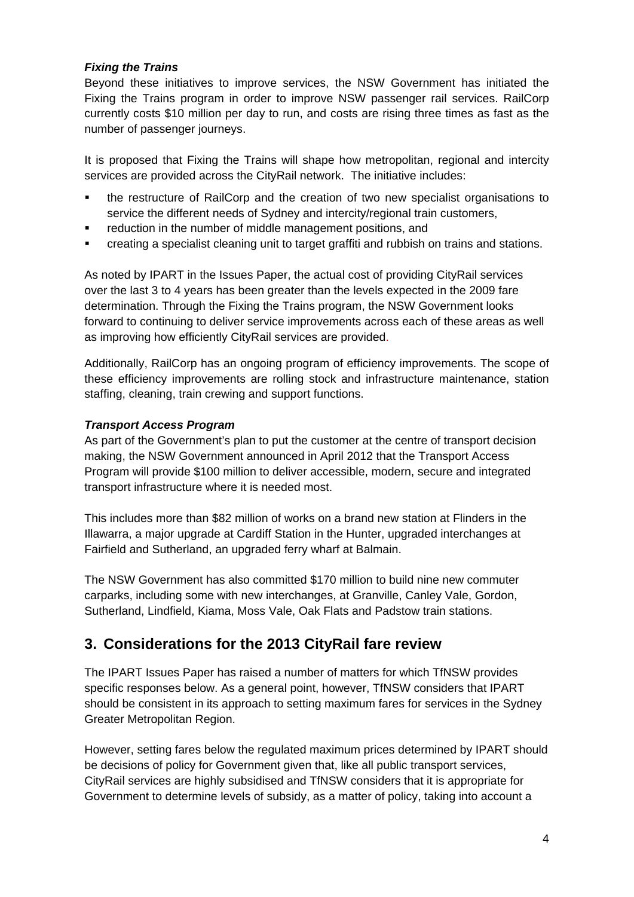## *Fixing the Trains*

Beyond these initiatives to improve services, the NSW Government has initiated the Fixing the Trains program in order to improve NSW passenger rail services. RailCorp currently costs \$10 million per day to run, and costs are rising three times as fast as the number of passenger journeys.

It is proposed that Fixing the Trains will shape how metropolitan, regional and intercity services are provided across the CityRail network. The initiative includes:

- the restructure of RailCorp and the creation of two new specialist organisations to service the different needs of Sydney and intercity/regional train customers,
- **•** reduction in the number of middle management positions, and
- creating a specialist cleaning unit to target graffiti and rubbish on trains and stations.

As noted by IPART in the Issues Paper, the actual cost of providing CityRail services over the last 3 to 4 years has been greater than the levels expected in the 2009 fare determination. Through the Fixing the Trains program, the NSW Government looks forward to continuing to deliver service improvements across each of these areas as well as improving how efficiently CityRail services are provided.

Additionally, RailCorp has an ongoing program of efficiency improvements. The scope of these efficiency improvements are rolling stock and infrastructure maintenance, station staffing, cleaning, train crewing and support functions.

## *Transport Access Program*

As part of the Government's plan to put the customer at the centre of transport decision making, the NSW Government announced in April 2012 that the Transport Access Program will provide \$100 million to deliver accessible, modern, secure and integrated transport infrastructure where it is needed most.

This includes more than \$82 million of works on a brand new station at Flinders in the Illawarra, a major upgrade at Cardiff Station in the Hunter, upgraded interchanges at Fairfield and Sutherland, an upgraded ferry wharf at Balmain.

The NSW Government has also committed \$170 million to build nine new commuter carparks, including some with new interchanges, at Granville, Canley Vale, Gordon, Sutherland, Lindfield, Kiama, Moss Vale, Oak Flats and Padstow train stations.

## **3. Considerations for the 2013 CityRail fare review**

The IPART Issues Paper has raised a number of matters for which TfNSW provides specific responses below. As a general point, however, TfNSW considers that IPART should be consistent in its approach to setting maximum fares for services in the Sydney Greater Metropolitan Region.

However, setting fares below the regulated maximum prices determined by IPART should be decisions of policy for Government given that, like all public transport services, CityRail services are highly subsidised and TfNSW considers that it is appropriate for Government to determine levels of subsidy, as a matter of policy, taking into account a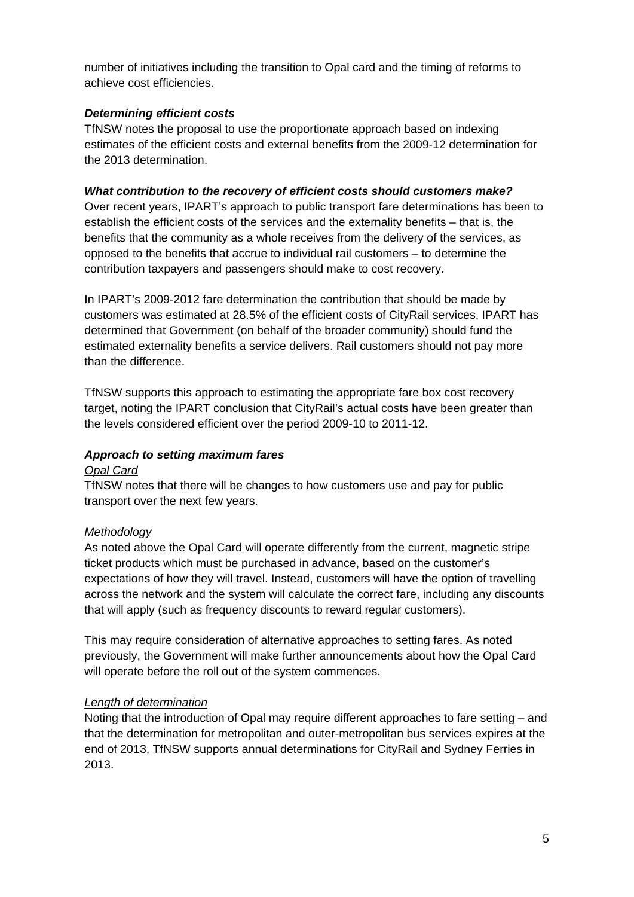number of initiatives including the transition to Opal card and the timing of reforms to achieve cost efficiencies.

#### *Determining efficient costs*

TfNSW notes the proposal to use the proportionate approach based on indexing estimates of the efficient costs and external benefits from the 2009-12 determination for the 2013 determination.

### *What contribution to the recovery of efficient costs should customers make?*

Over recent years, IPART's approach to public transport fare determinations has been to establish the efficient costs of the services and the externality benefits – that is, the benefits that the community as a whole receives from the delivery of the services, as opposed to the benefits that accrue to individual rail customers – to determine the contribution taxpayers and passengers should make to cost recovery.

In IPART's 2009-2012 fare determination the contribution that should be made by customers was estimated at 28.5% of the efficient costs of CityRail services. IPART has determined that Government (on behalf of the broader community) should fund the estimated externality benefits a service delivers. Rail customers should not pay more than the difference.

TfNSW supports this approach to estimating the appropriate fare box cost recovery target, noting the IPART conclusion that CityRail's actual costs have been greater than the levels considered efficient over the period 2009-10 to 2011-12.

### *Approach to setting maximum fares*

#### *Opal Card*

TfNSW notes that there will be changes to how customers use and pay for public transport over the next few years.

#### *Methodology*

As noted above the Opal Card will operate differently from the current, magnetic stripe ticket products which must be purchased in advance, based on the customer's expectations of how they will travel. Instead, customers will have the option of travelling across the network and the system will calculate the correct fare, including any discounts that will apply (such as frequency discounts to reward regular customers).

This may require consideration of alternative approaches to setting fares. As noted previously, the Government will make further announcements about how the Opal Card will operate before the roll out of the system commences.

#### *Length of determination*

Noting that the introduction of Opal may require different approaches to fare setting – and that the determination for metropolitan and outer-metropolitan bus services expires at the end of 2013, TfNSW supports annual determinations for CityRail and Sydney Ferries in 2013.